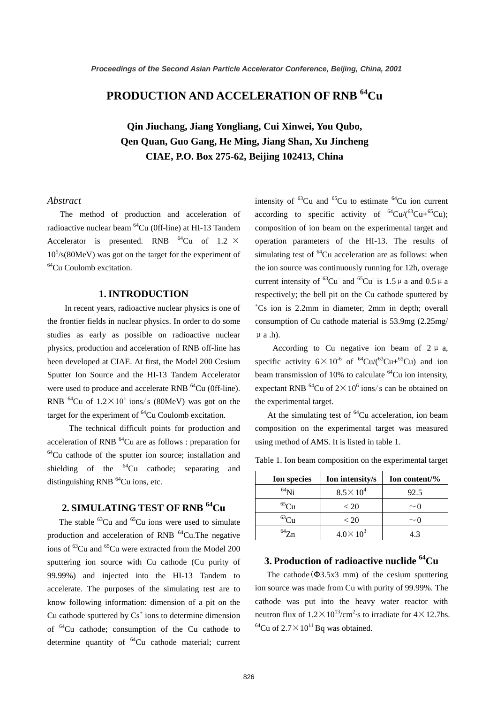# **PRODUCTION AND ACCELERATION OF RNB 64Cu**

**Qin Jiuchang, Jiang Yongliang, Cui Xinwei, You Qubo, Qen Quan, Guo Gang, He Ming, Jiang Shan, Xu Jincheng CIAE, P.O. Box 275-62, Beijing 102413, China**

#### *Abstract*

The method of production and acceleration of radioactive nuclear beam 64Cu (0ff-line) at HI-13 Tandem Accelerator is presented. RNB  $^{64}$ Cu of 1.2  $\times$ 10<sup>5</sup> /s(80MeV) was got on the target for the experiment of <sup>64</sup>Cu Coulomb excitation.

### **1. INTRODUCTION**

In recent years, radioactive nuclear physics is one of the frontier fields in nuclear physics. In order to do some studies as early as possible on radioactive nuclear physics, production and acceleration of RNB off-line has been developed at CIAE. At first, the Model 200 Cesium Sputter Ion Source and the HI-13 Tandem Accelerator were used to produce and accelerate RNB <sup>64</sup>Cu (0ff-line). RNB  $^{64}$ Cu of  $1.2 \times 10^5$  ions/s (80MeV) was got on the target for the experiment of <sup>64</sup>Cu Coulomb excitation.

The technical difficult points for production and acceleration of RNB  $^{64}$ Cu are as follows : preparation for 64Cu cathode of the sputter ion source; installation and shielding of the  $^{64}$ Cu cathode; separating and distinguishing RNB  $^{64}$ Cu ions, etc.

# **2. SIMULATING TEST OF RNB 64Cu**

The stable  ${}^{63}$ Cu and  ${}^{65}$ Cu ions were used to simulate production and acceleration of RNB  $^{64}$ Cu.The negative ions of <sup>63</sup>Cu and <sup>65</sup>Cu were extracted from the Model 200 sputtering ion source with Cu cathode (Cu purity of 99.99%) and injected into the HI-13 Tandem to accelerate. The purposes of the simulating test are to know following information: dimension of a pit on the Cu cathode sputtered by  $Cs<sup>+</sup>$  ions to determine dimension of 64Cu cathode; consumption of the Cu cathode to determine quantity of  ${}^{64}Cu$  cathode material; current

intensity of  ${}^{63}$ Cu and  ${}^{65}$ Cu to estimate  ${}^{64}$ Cu ion current according to specific activity of  ${}^{64}Cu/({}^{63}Cu+{}^{65}Cu);$ composition of ion beam on the experimental target and operation parameters of the HI-13. The results of simulating test of  ${}^{64}$ Cu acceleration are as follows: when the ion source was continuously running for 12h, overage current intensity of <sup>63</sup>Cu<sup>-</sup> and <sup>65</sup>Cu<sup>-</sup> is 1.5  $\mu$  a and 0.5  $\mu$  a respectively; the bell pit on the Cu cathode sputtered by + Cs ion is 2.2mm in diameter, 2mm in depth; overall consumption of Cu cathode material is 53.9mg (2.25mg/  $\mu$  a .h).

According to Cu negative ion beam of  $2 \mu$  a, specific activity  $6\times10^{-6}$  of  $^{64}Cu/(^{63}Cu+^{65}Cu)$  and ion beam transmission of 10% to calculate  $^{64}$ Cu ion intensity, expectant RNB <sup>64</sup>Cu of  $2 \times 10^6$  ions/s can be obtained on the experimental target.

At the simulating test of  ${}^{64}$ Cu acceleration, ion beam composition on the experimental target was measured using method of AMS. It is listed in table 1.

| <b>Ion species</b> | Ion intensity/s     | Ion content/% |
|--------------------|---------------------|---------------|
| $^{64}$ Ni         | $8.5 \times 10^{4}$ | 92.5          |
|                    | < 20                | $\sim$ U      |
| $^{63}$ Cu         | < 20                | $\sim$ U      |
| $^{64}Z_{p}$       | $4.0\times10^3$     | 4.3           |

Table 1. Ion beam composition on the experimental target

### **3. Production of radioactive nuclide 64Cu**

The cathode  $(\Phi$ 3.5x3 mm) of the cesium sputtering ion source was made from Cu with purity of 99.99%. The cathode was put into the heavy water reactor with neutron flux of  $1.2 \times 10^{13} / \text{cm}^2$  s to irradiate for  $4 \times 12.7$ hs. <sup>64</sup>Cu of  $2.7\times10^{11}$  Bq was obtained.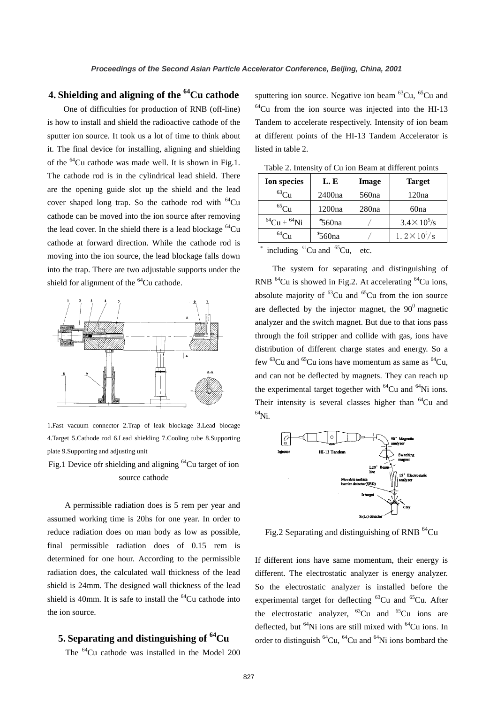## **4. Shielding and aligning of the 64Cu cathode**

One of difficulties for production of RNB (off-line) is how to install and shield the radioactive cathode of the sputter ion source. It took us a lot of time to think about it. The final device for installing, aligning and shielding of the 64Cu cathode was made well. It is shown in Fig.1. The cathode rod is in the cylindrical lead shield. There are the opening guide slot up the shield and the lead cover shaped long trap. So the cathode rod with  $^{64}Cu$ cathode can be moved into the ion source after removing the lead cover. In the shield there is a lead blockage  ${}^{64}Cu$ cathode at forward direction. While the cathode rod is moving into the ion source, the lead blockage falls down into the trap. There are two adjustable supports under the shield for alignment of the <sup>64</sup>Cu cathode.



1.Fast vacuum connector 2.Trap of leak blockage 3.Lead blocage 4.Target 5.Cathode rod 6.Lead shielding 7.Cooling tube 8.Supporting plate 9.Supporting and adjusting unit

Fig.1 Device of rshielding and aligning <sup>64</sup>Cu target of ion source cathode

A permissible radiation does is 5 rem per year and assumed working time is 20hs for one year. In order to reduce radiation does on man body as low as possible, final permissible radiation does of 0.15 rem is determined for one hour. According to the permissible radiation does, the calculated wall thickness of the lead shield is 24mm. The designed wall thickness of the lead shield is 40mm. It is safe to install the  $^{64}$ Cu cathode into the ion source.

### **5. Separating and distinguishing of 64Cu**

The <sup>64</sup>Cu cathode was installed in the Model 200

sputtering ion source. Negative ion beam  ${}^{63}Cu$ ,  ${}^{65}Cu$  and  $64$ Cu from the ion source was injected into the HI-13 Tandem to accelerate respectively. Intensity of ion beam at different points of the HI-13 Tandem Accelerator is listed in table 2.

| raore 2. michael, or ca foll beam at christent points |         |                   |                      |  |
|-------------------------------------------------------|---------|-------------------|----------------------|--|
| Ion species                                           | L. E    | Image             | <b>Target</b>        |  |
| ${}^{63}Cu$                                           | 2400na  | 560 <sub>na</sub> | 120na                |  |
| ${}^{65}$ Cu                                          | 1200na  | 280na             | 60na                 |  |
| ${}^{64}Cu + {}^{64}Ni$                               | \$560na |                   | $3.4 \times 10^5$ /s |  |
|                                                       | \$560na |                   | $1.2 \times 10^5$ /s |  |

Table 2. Intensity of Cu ion Beam at different points

 $*$  including  ${}^{63}$ Cu and  ${}^{65}$ Cu, etc.

The system for separating and distinguishing of RNB 64Cu is showed in Fig.2. At accelerating 64Cu ions, absolute majority of  ${}^{63}Cu$  and  ${}^{65}Cu$  from the ion source are deflected by the injector magnet, the  $90^{\circ}$  magnetic analyzer and the switch magnet. But due to that ions pass through the foil stripper and collide with gas, ions have distribution of different charge states and energy. So a few  ${}^{63}$ Cu and  ${}^{65}$ Cu ions have momentum as same as  ${}^{64}$ Cu, and can not be deflected by magnets. They can reach up the experimental target together with  ${}^{64}Cu$  and  ${}^{64}Ni$  ions. Their intensity is several classes higher than  $^{64}$ Cu and  $^{64}$ Ni.



Fig.2 Separating and distinguishing of RNB  $^{64}$ Cu

If different ions have same momentum, their energy is different. The electrostatic analyzer is energy analyzer. So the electrostatic analyzer is installed before the experimental target for deflecting  ${}^{63}Cu$  and  ${}^{65}Cu$ . After the electrostatic analyzer,  ${}^{63}Cu$  and  ${}^{65}Cu$  ions are deflected, but  $^{64}$ Ni ions are still mixed with  $^{64}$ Cu ions. In order to distinguish  ${}^{64}Cu$ ,  ${}^{64}Cu$  and  ${}^{64}Ni$  ions bombard the